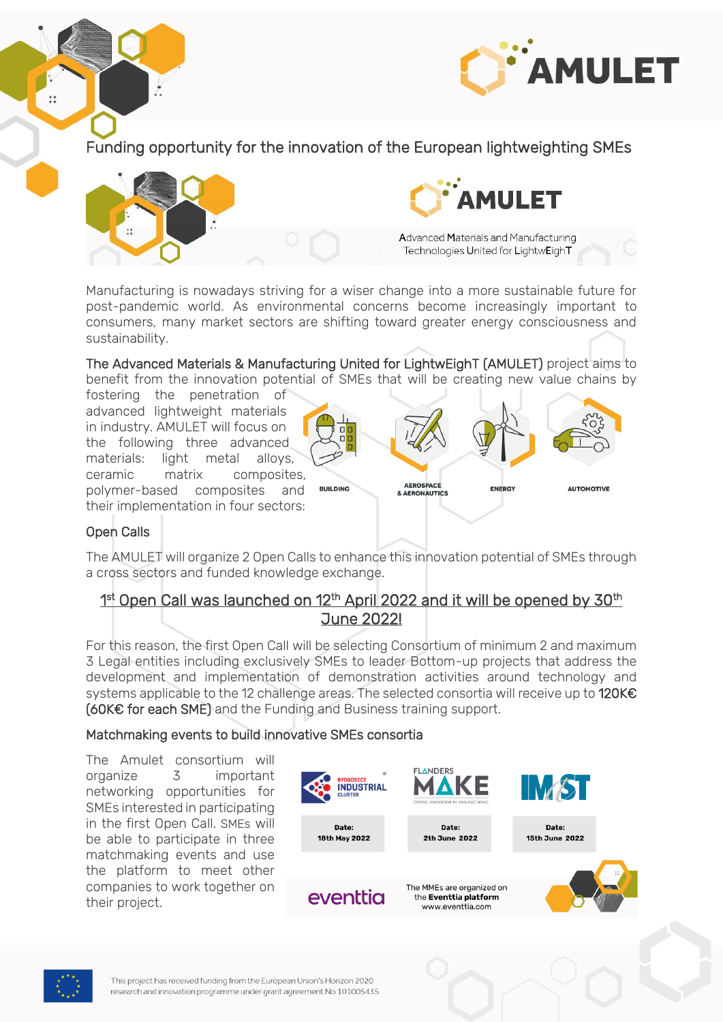

Funding opportunity for the innovation of the European lightweighting SMEs



Manufacturing is nowadays striving for a wiser change into a more sustainable future for post-pandemic world. As environmental concerns become increasingly important to consumers, many market sectors are shifting toward greater energy consciousness and sustainability.

The Advanced Materials & Manufacturing United for LightwEighT (AMULET) project aims to benefit from the innovation potential of SMEs that will be creating new value chains by

fostering the penetration of advanced lightweight materials in industry. AMULET will focus on the following three advanced materials: light metal alloys, ceramic matrix composites, polymer-based composites and their implementation in four sectors:



## Open Calls

 $\ddot{+}$ 

The AMULET will organize 2 Open Calls to enhance this innovation potential of SMEs through a cross sectors and funded knowledge exchange.

# 1<sup>st</sup> Open Call was launched on 12<sup>th</sup> April 2022 and it will be opened by 30<sup>th</sup> June 2022!

For this reason, the first Open Call will be selecting Consortium of minimum 2 and maximum 3 Legal entities including exclusively SMEs to leader Bottom-up projects that address the development and implementation of demonstration activities around technology and systems applicable to the 12 challenge areas. The selected consortia will receive up to 120K€ (60K€ for each SME) and the Funding and Business training support.

### Matchmaking events to build innovative SMEs consortia

The Amulet consortium will organize 3 important networking opportunities for SMEs interested in participating in the first Open Call. SMEs will be able to participate in three matchmaking events and use the platform to meet other companies to work together on their project.